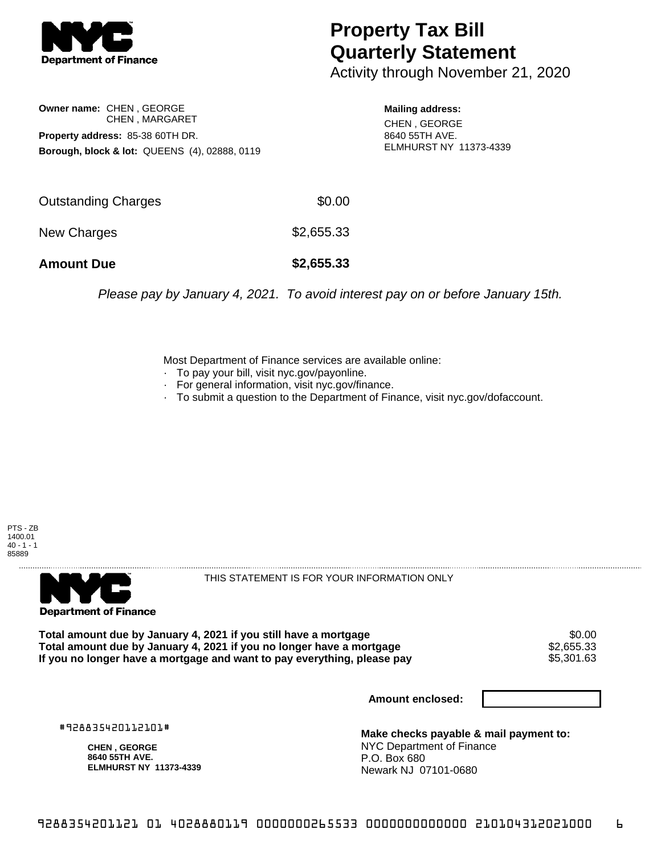

## **Property Tax Bill Quarterly Statement**

Activity through November 21, 2020

**Owner name:** CHEN , GEORGE CHEN , MARGARET **Property address:** 85-38 60TH DR. **Borough, block & lot:** QUEENS (4), 02888, 0119

**Mailing address:** CHEN , GEORGE 8640 55TH AVE. ELMHURST NY 11373-4339

| <b>Amount Due</b>   | \$2,655.33 |
|---------------------|------------|
| New Charges         | \$2,655.33 |
| Outstanding Charges | \$0.00     |

Please pay by January 4, 2021. To avoid interest pay on or before January 15th.

Most Department of Finance services are available online:

- · To pay your bill, visit nyc.gov/payonline.
- For general information, visit nyc.gov/finance.
- · To submit a question to the Department of Finance, visit nyc.gov/dofaccount.





THIS STATEMENT IS FOR YOUR INFORMATION ONLY

Total amount due by January 4, 2021 if you still have a mortgage  $$0.00$ <br>Total amount due by January 4, 2021 if you no longer have a mortgage  $$2,655.33$ **Total amount due by January 4, 2021 if you no longer have a mortgage**  $$2,655.33$ **<br>If you no longer have a mortgage and want to pay everything, please pay**  $$5,301.63$ If you no longer have a mortgage and want to pay everything, please pay

**Amount enclosed:**

#928835420112101#

**CHEN , GEORGE 8640 55TH AVE. ELMHURST NY 11373-4339**

**Make checks payable & mail payment to:** NYC Department of Finance P.O. Box 680 Newark NJ 07101-0680